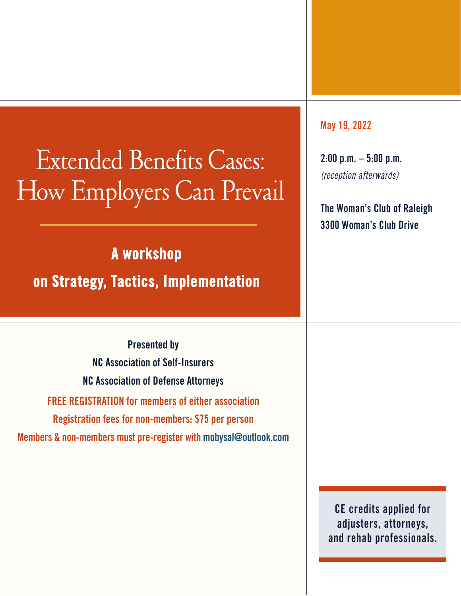### Extended Benefits Cases: How Employers Can Prevail

**A workshop** 

#### **on Strategy, Tactics, Implementation**

**Presented by NC Association of Self-Insurers NC Association of Defense Attorneys FREE REGISTRATION for members of either association Registration fees for non-members: \$75 per person Members & non-members must pre-register with mobysal@outlook.com** **May 19, 2022**

**2:00 p.m. – 5:00 p.m.** (reception afterwards)

**The Woman's Club of Raleigh 3300 Woman's Club Drive**

**CE credits applied for adjusters, attorneys, and rehab professionals.**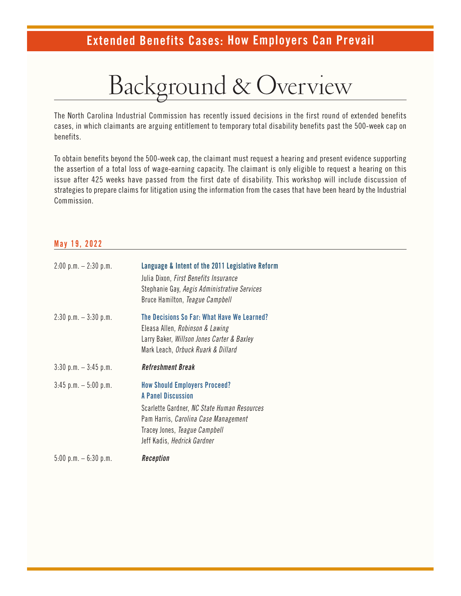### Background & Overview

The North Carolina Industrial Commission has recently issued decisions in the first round of extended benefits cases, in which claimants are arguing entitlement to temporary total disability benefits past the 500-week cap on benefits.

To obtain benefits beyond the 500-week cap, the claimant must request a hearing and present evidence supporting the assertion of a total loss of wage-earning capacity. The claimant is only eligible to request a hearing on this issue after 425 weeks have passed from the first date of disability. This workshop will include discussion of strategies to prepare claims for litigation using the information from the cases that have been heard by the Industrial Commission.

#### **May 19, 2022**

| $2:00 \text{ p.m.} - 2:30 \text{ p.m.}$ | Language & Intent of the 2011 Legislative Reform<br>Julia Dixon, First Benefits Insurance<br>Stephanie Gay, Aegis Administrative Services<br>Bruce Hamilton, Teague Campbell                                                    |
|-----------------------------------------|---------------------------------------------------------------------------------------------------------------------------------------------------------------------------------------------------------------------------------|
| $2:30$ p.m. $-3:30$ p.m.                | The Decisions So Far: What Have We Learned?<br>Eleasa Allen, Robinson & Lawing<br>Larry Baker, Willson Jones Carter & Baxley<br>Mark Leach, Orbuck Ruark & Dillard                                                              |
| $3:30$ p.m. $-3:45$ p.m.                | Refreshment Break                                                                                                                                                                                                               |
| $3:45$ p.m. $-5:00$ p.m.                | <b>How Should Employers Proceed?</b><br><b>A Panel Discussion</b><br>Scarlette Gardner, NC State Human Resources<br>Pam Harris, Carolina Case Management<br>Tracey Jones, Teague Campbell<br>Jeff Kadis, <i>Hedrick Gardner</i> |
| $5:00$ p.m. $-6:30$ p.m.                | Reception                                                                                                                                                                                                                       |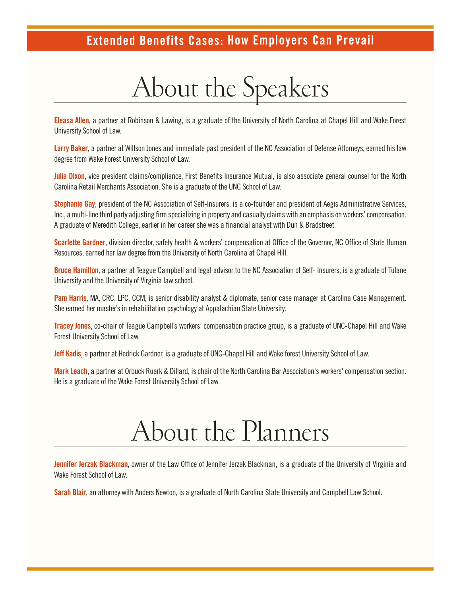## About the Speakers

**Eleasa Allen**, a partner at Robinson & Lawing, is a graduate of the University of North Carolina at Chapel Hill and Wake Forest University School of Law.

**Larry Baker**, a partner at Willson Jones and immediate past president of the NC Association of Defense Attorneys, earned his law degree from Wake Forest University School of Law.

**Julia Dixon**, vice president claims/compliance, First Benefits Insurance Mutual, is also associate general counsel for the North Carolina Retail Merchants Association. She is a graduate of the UNC School of Law.

**Stephanie Gay**, president of the NC Association of Self-Insurers, is a co-founder and president of Aegis Administrative Services, Inc., a multi-line third party adjusting firm specializing in property and casualty claims with an emphasis on workers' compensation. A graduate of Meredith College, earlier in her career she was a financial analyst with Dun & Bradstreet.

**Scarlette Gardner**, division director, safety health & workers' compensation at Office of the Governor, NC Office of State Human Resources, earned her law degree from the University of North Carolina at Chapel Hill.

**Bruce Hamilton**, a partner at Teague Campbell and legal advisor to the NC Association of Self- Insurers, is a graduate of Tulane University and the University of Virginia law school.

**Pam Harris**, MA, CRC, LPC, CCM, is senior disability analyst & diplomate, senior case manager at Carolina Case Management. She earned her master's in rehabilitation psychology at Appalachian State University.

**Tracey Jones**, co-chair of Teague Campbell's workers' compensation practice group, is a graduate of UNC-Chapel Hill and Wake Forest University School of Law.

**Jeff Kadis**, a partner at Hedrick Gardner, is a graduate of UNC-Chapel Hill and Wake forest University School of Law.

**Mark Leach**, a partner at Orbuck Ruark & Dillard, is chair of the North Carolina Bar Association's workers' compensation section. He is a graduate of the Wake Forest University School of Law.

### About the Planners

**Jennifer Jerzak Blackman**, owner of the Law Office of Jennifer Jerzak Blackman, is a graduate of the University of Virginia and Wake Forest School of Law.

**Sarah Blair**, an attorney with Anders Newton, is a graduate of North Carolina State University and Campbell Law School.